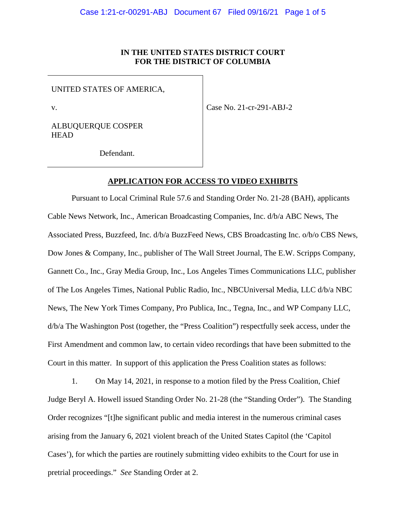# **IN THE UNITED STATES DISTRICT COURT FOR THE DISTRICT OF COLUMBIA**

UNITED STATES OF AMERICA,

v.

Case No. 21-cr-291-ABJ-2

ALBUQUERQUE COSPER **HEAD** 

Defendant.

## **APPLICATION FOR ACCESS TO VIDEO EXHIBITS**

Pursuant to Local Criminal Rule 57.6 and Standing Order No. 21-28 (BAH), applicants Cable News Network, Inc., American Broadcasting Companies, Inc. d/b/a ABC News, The Associated Press, Buzzfeed, Inc. d/b/a BuzzFeed News, CBS Broadcasting Inc. o/b/o CBS News, Dow Jones & Company, Inc., publisher of The Wall Street Journal, The E.W. Scripps Company, Gannett Co., Inc., Gray Media Group, Inc., Los Angeles Times Communications LLC, publisher of The Los Angeles Times, National Public Radio, Inc., NBCUniversal Media, LLC d/b/a NBC News, The New York Times Company, Pro Publica, Inc., Tegna, Inc., and WP Company LLC, d/b/a The Washington Post (together, the "Press Coalition") respectfully seek access, under the First Amendment and common law, to certain video recordings that have been submitted to the Court in this matter. In support of this application the Press Coalition states as follows:

1. On May 14, 2021, in response to a motion filed by the Press Coalition, Chief Judge Beryl A. Howell issued Standing Order No. 21-28 (the "Standing Order"). The Standing Order recognizes "[t]he significant public and media interest in the numerous criminal cases arising from the January 6, 2021 violent breach of the United States Capitol (the 'Capitol Cases'), for which the parties are routinely submitting video exhibits to the Court for use in pretrial proceedings." *See* Standing Order at 2.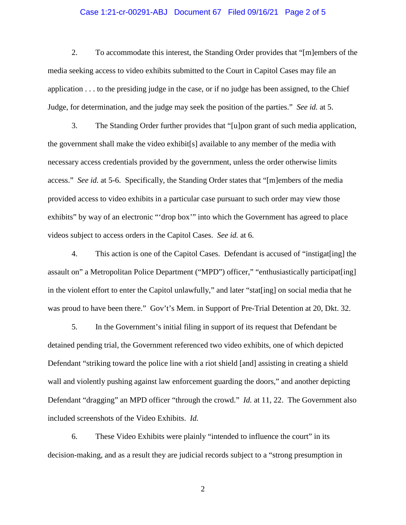### Case 1:21-cr-00291-ABJ Document 67 Filed 09/16/21 Page 2 of 5

2. To accommodate this interest, the Standing Order provides that "[m]embers of the media seeking access to video exhibits submitted to the Court in Capitol Cases may file an application . . . to the presiding judge in the case, or if no judge has been assigned, to the Chief Judge, for determination, and the judge may seek the position of the parties." *See id.* at 5.

3. The Standing Order further provides that "[u]pon grant of such media application, the government shall make the video exhibit[s] available to any member of the media with necessary access credentials provided by the government, unless the order otherwise limits access." *See id.* at 5-6. Specifically, the Standing Order states that "[m]embers of the media provided access to video exhibits in a particular case pursuant to such order may view those exhibits" by way of an electronic "'drop box'" into which the Government has agreed to place videos subject to access orders in the Capitol Cases. *See id.* at 6.

4. This action is one of the Capitol Cases. Defendant is accused of "instigat[ing] the assault on" a Metropolitan Police Department ("MPD") officer," "enthusiastically participat [ing] in the violent effort to enter the Capitol unlawfully," and later "stat[ing] on social media that he was proud to have been there." Gov't's Mem. in Support of Pre-Trial Detention at 20, Dkt. 32.

5. In the Government's initial filing in support of its request that Defendant be detained pending trial, the Government referenced two video exhibits, one of which depicted Defendant "striking toward the police line with a riot shield [and] assisting in creating a shield wall and violently pushing against law enforcement guarding the doors," and another depicting Defendant "dragging" an MPD officer "through the crowd." *Id.* at 11, 22. The Government also included screenshots of the Video Exhibits. *Id.*

6. These Video Exhibits were plainly "intended to influence the court" in its decision-making, and as a result they are judicial records subject to a "strong presumption in

2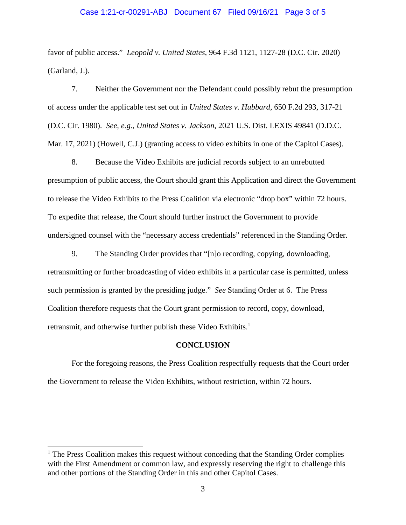#### Case 1:21-cr-00291-ABJ Document 67 Filed 09/16/21 Page 3 of 5

favor of public access." *Leopold v. United States*, 964 F.3d 1121, 1127-28 (D.C. Cir. 2020) (Garland, J.).

7. Neither the Government nor the Defendant could possibly rebut the presumption of access under the applicable test set out in *United States v. Hubbard*, 650 F.2d 293, 317-21 (D.C. Cir. 1980). *See, e.g.*, *United States v. Jackson*, 2021 U.S. Dist. LEXIS 49841 (D.D.C. Mar. 17, 2021) (Howell, C.J.) (granting access to video exhibits in one of the Capitol Cases).

8. Because the Video Exhibits are judicial records subject to an unrebutted presumption of public access, the Court should grant this Application and direct the Government to release the Video Exhibits to the Press Coalition via electronic "drop box" within 72 hours. To expedite that release, the Court should further instruct the Government to provide undersigned counsel with the "necessary access credentials" referenced in the Standing Order.

9. The Standing Order provides that "[n]o recording, copying, downloading, retransmitting or further broadcasting of video exhibits in a particular case is permitted, unless such permission is granted by the presiding judge." *See* Standing Order at 6. The Press Coalition therefore requests that the Court grant permission to record, copy, download, retransmit, and otherwise further publish these Video Exhibits.<sup>1</sup>

#### **CONCLUSION**

For the foregoing reasons, the Press Coalition respectfully requests that the Court order the Government to release the Video Exhibits, without restriction, within 72 hours.

 $\overline{a}$ 

<sup>&</sup>lt;sup>1</sup> The Press Coalition makes this request without conceding that the Standing Order complies with the First Amendment or common law, and expressly reserving the right to challenge this and other portions of the Standing Order in this and other Capitol Cases.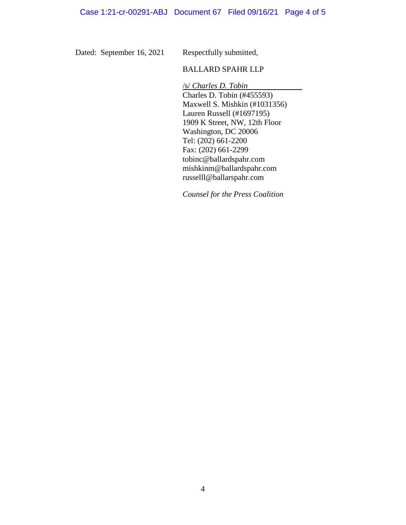Dated: September 16, 2021

Respectfully submitted,

## BALLARD SPAHR LLP

/s/ *Charles D. Tobin* Charles D. Tobin (#455593) Maxwell S. Mishkin (#1031356) Lauren Russell (#1697195) 1909 K Street, NW, 12th Floor Washington, DC 20006 Tel: (202) 661-2200 Fax: (202) 661-2299 tobinc@ballardspahr.com mishkinm@ballardspahr.com russelll@ballarspahr.com

*Counsel for the Press Coalition*